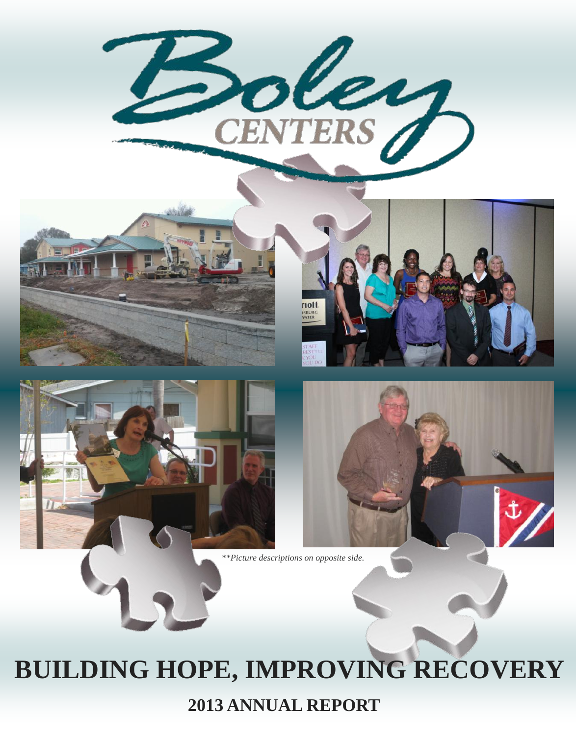







*\*\*Picture descriptions on opposite side.*

# **BUILDING HOPE, IMPROVING RECOVERY**

**2013 ANNUAL REPORT**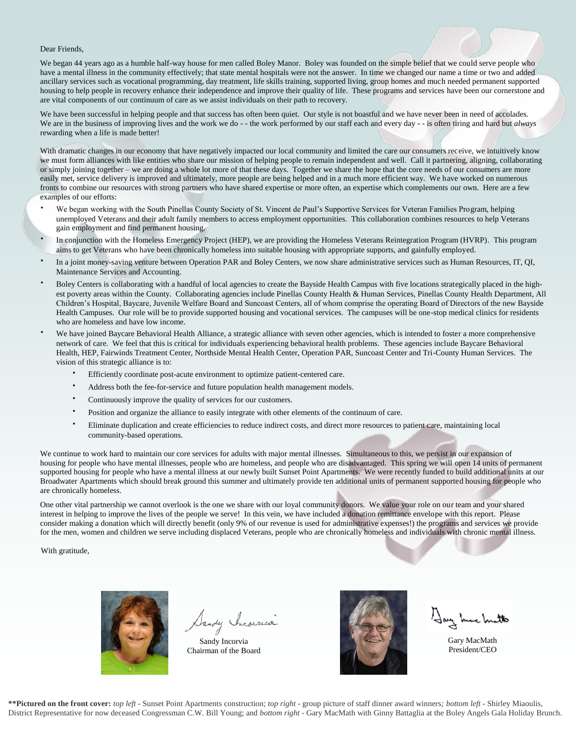Dear Friends,

We began 44 years ago as a humble half-way house for men called Boley Manor. Boley was founded on the simple belief that we could serve people who have a mental illness in the community effectively; that state mental hospitals were not the answer. In time we changed our name a time or two and added ancillary services such as vocational programming, day treatment, life skills training, supported living, group homes and much needed permanent supported housing to help people in recovery enhance their independence and improve their quality of life. These programs and services have been our cornerstone and are vital components of our continuum of care as we assist individuals on their path to recovery.

We have been successful in helping people and that success has often been quiet. Our style is not boastful and we have never been in need of accolades. We are in the business of improving lives and the work we do - - the work performed by our staff each and every day - - is often tiring and hard but *always* rewarding when a life is made better!

With dramatic changes in our economy that have negatively impacted our local community and limited the care our consumers receive, we intuitively know we must form alliances with like entities who share our mission of helping people to remain independent and well. Call it partnering, aligning, collaborating or simply joining together – we are doing a whole lot more of that these days. Together we share the hope that the core needs of our consumers are more easily met, service delivery is improved and ultimately, more people are being helped and in a much more efficient way. We have worked on numerous fronts to combine our resources with strong partners who have shared expertise or more often, an expertise which complements our own. Here are a few examples of our efforts:

- We began working with the South Pinellas County Society of St. Vincent de Paul's Supportive Services for Veteran Families Program, helping unemployed Veterans and their adult family members to access employment opportunities. This collaboration combines resources to help Veterans gain employment and find permanent housing.
- In conjunction with the Homeless Emergency Project (HEP), we are providing the Homeless Veterans Reintegration Program (HVRP). This program aims to get Veterans who have been chronically homeless into suitable housing with appropriate supports, and gainfully employed.
- In a joint money-saving venture between Operation PAR and Boley Centers, we now share administrative services such as Human Resources, IT, QI, Maintenance Services and Accounting.
- Boley Centers is collaborating with a handful of local agencies to create the Bayside Health Campus with five locations strategically placed in the highest poverty areas within the County. Collaborating agencies include Pinellas County Health & Human Services, Pinellas County Health Department, All Children's Hospital, Baycare, Juvenile Welfare Board and Suncoast Centers, all of whom comprise the operating Board of Directors of the new Bayside Health Campuses. Our role will be to provide supported housing and vocational services. The campuses will be one-stop medical clinics for residents who are homeless and have low income.
- We have joined Baycare Behavioral Health Alliance, a strategic alliance with seven other agencies, which is intended to foster a more comprehensive network of care. We feel that this is critical for individuals experiencing behavioral health problems. These agencies include Baycare Behavioral Health, HEP, Fairwinds Treatment Center, Northside Mental Health Center, Operation PAR, Suncoast Center and Tri-County Human Services. The vision of this strategic alliance is to:
	- Efficiently coordinate post-acute environment to optimize patient-centered care.
	- Address both the fee-for-service and future population health management models.
	- Continuously improve the quality of services for our customers.
	- Position and organize the alliance to easily integrate with other elements of the continuum of care.
	- Eliminate duplication and create efficiencies to reduce indirect costs, and direct more resources to patient care, maintaining local community-based operations.

We continue to work hard to maintain our core services for adults with major mental illnesses. Simultaneous to this, we persist in our expansion of housing for people who have mental illnesses, people who are homeless, and people who are disadvantaged. This spring we will open 14 units of permanent supported housing for people who have a mental illness at our newly built Sunset Point Apartments. We were recently funded to build additional units at our Broadwater Apartments which should break ground this summer and ultimately provide ten additional units of permanent supported housing for people who are chronically homeless.

One other vital partnership we cannot overlook is the one we share with our loyal community donors. We value your role on our team and your shared interest in helping to improve the lives of the people we serve! In this vein, we have included a donation remittance envelope with this report. Please consider making a donation which will directly benefit (only 9% of our revenue is used for administrative expenses!) the programs and services we provide for the men, women and children we serve including displaced Veterans, people who are chronically homeless and individuals with chronic mental illness.

With gratitude,



Dandy Incorrea

Sandy Incorvia Chairman of the Board



Gary MacMath President/CEO

**\*\*Pictured on the front cover:** *top left -* Sunset Point Apartments construction; *top right -* group picture of staff dinner award winners*; bottom left -* Shirley Miaoulis, District Representative for now deceased Congressman C.W. Bill Young; and *bottom right -* Gary MacMath with Ginny Battaglia at the Boley Angels Gala Holiday Brunch.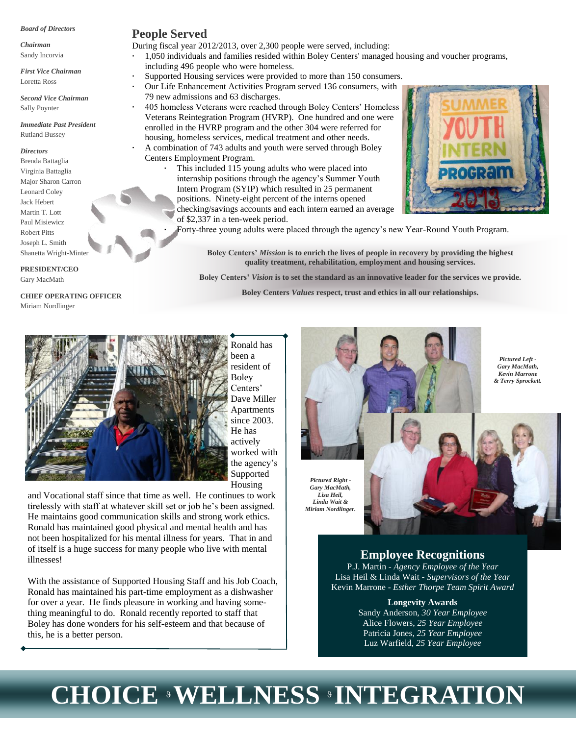#### *Board of Directors*

*Chairman* Sandy Incorvia

*First Vice Chairman*

Loretta Ross *Second Vice Chairman*

Sally Poynter

*Immediate Past President* Rutland Bussey

#### *Directors*

Brenda Battaglia Virginia Battaglia Major Sharon Carron Leonard Coley Jack Hebert Martin T. Lott Paul Misiewicz Robert Pitts Joseph L. Smith Shanetta Wright-Minter

#### **PRESIDENT/CEO**

Gary MacMath

#### **CHIEF OPERATING OFFICER** Miriam Nordlinger

## **People Served**

During fiscal year 2012/2013, over 2,300 people were served, including: 1,050 individuals and families resided within Boley Centers' managed housing and voucher programs, including 496 people who were homeless.

- Supported Housing services were provided to more than 150 consumers.
- Our Life Enhancement Activities Program served 136 consumers, with 79 new admissions and 63 discharges.

 405 homeless Veterans were reached through Boley Centers' Homeless Veterans Reintegration Program (HVRP). One hundred and one were enrolled in the HVRP program and the other 304 were referred for housing, homeless services, medical treatment and other needs.

 A combination of 743 adults and youth were served through Boley Centers Employment Program.

 This included 115 young adults who were placed into internship positions through the agency's Summer Youth Intern Program (SYIP) which resulted in 25 permanent positions. Ninety-eight percent of the interns opened

checking/savings accounts and each intern earned an average of \$2,337 in a ten-week period.



**Boley Centers'** *Mission* **is to enrich the lives of people in recovery by providing the highest quality treatment, rehabilitation, employment and housing services.**

**Boley Centers'** *Vision* **is to set the standard as an innovative leader for the services we provide.**

**Boley Centers** *Values* **respect, trust and ethics in all our relationships.**



Ronald has been a resident of Boley Centers' Dave Miller Apartments since 2003. He has actively worked with the agency's Supported Housing

and Vocational staff since that time as well. He continues to work tirelessly with staff at whatever skill set or job he's been assigned. He maintains good communication skills and strong work ethics. Ronald has maintained good physical and mental health and has not been hospitalized for his mental illness for years. That in and of itself is a huge success for many people who live with mental illnesses!

With the assistance of Supported Housing Staff and his Job Coach, Ronald has maintained his part-time employment as a dishwasher for over a year. He finds pleasure in working and having something meaningful to do. Ronald recently reported to staff that Boley has done wonders for his self-esteem and that because of this, he is a better person.

*Pictured Right - Lisa Heil,* 

*Pictured Left - Gary MacMath, Kevin Marrone & Terry Sprockett.*

**POGRA** 

*Gary MacMath, Linda Wait & Miriam Nordlinger.*

# **Employee Recognitions**

P.J. Martin - *Agency Employee of the Year* Lisa Heil & Linda Wait - *Supervisors of the Year* Kevin Marrone - *Esther Thorpe Team Spirit Award*

#### **Longevity Awards**

Sandy Anderson, *30 Year Employee* Alice Flowers, *25 Year Employee* Patricia Jones, *25 Year Employee* Luz Warfield, *25 Year Employee*

# **CHOICE WELLNESS INTEGRATION**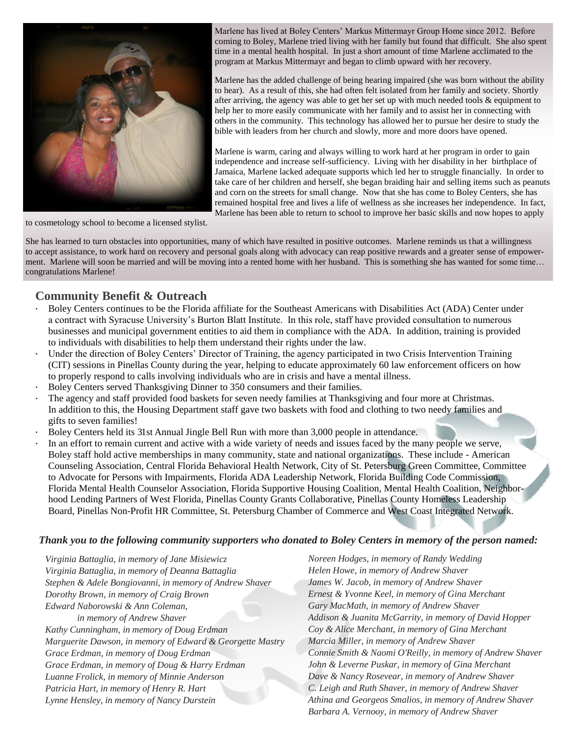

Marlene has lived at Boley Centers' Markus Mittermayr Group Home since 2012. Before coming to Boley, Marlene tried living with her family but found that difficult. She also spent time in a mental health hospital. In just a short amount of time Marlene acclimated to the program at Markus Mittermayr and began to climb upward with her recovery.

Marlene has the added challenge of being hearing impaired (she was born without the ability to hear). As a result of this, she had often felt isolated from her family and society. Shortly after arriving, the agency was able to get her set up with much needed tools & equipment to help her to more easily communicate with her family and to assist her in connecting with others in the community. This technology has allowed her to pursue her desire to study the bible with leaders from her church and slowly, more and more doors have opened.

Marlene is warm, caring and always willing to work hard at her program in order to gain independence and increase self-sufficiency. Living with her disability in her birthplace of Jamaica, Marlene lacked adequate supports which led her to struggle financially. In order to take care of her children and herself, she began braiding hair and selling items such as peanuts and corn on the streets for small change. Now that she has come to Boley Centers, she has remained hospital free and lives a life of wellness as she increases her independence. In fact, Marlene has been able to return to school to improve her basic skills and now hopes to apply

to cosmetology school to become a licensed stylist.

She has learned to turn obstacles into opportunities, many of which have resulted in positive outcomes. Marlene reminds us that a willingness to accept assistance, to work hard on recovery and personal goals along with advocacy can reap positive rewards and a greater sense of empowerment. Marlene will soon be married and will be moving into a rented home with her husband. This is something she has wanted for some time… congratulations Marlene!

# **Community Benefit & Outreach**

- Boley Centers continues to be the Florida affiliate for the Southeast Americans with Disabilities Act (ADA) Center under a contract with Syracuse University's Burton Blatt Institute. In this role, staff have provided consultation to numerous businesses and municipal government entities to aid them in compliance with the ADA. In addition, training is provided to individuals with disabilities to help them understand their rights under the law.
- Under the direction of Boley Centers' Director of Training, the agency participated in two Crisis Intervention Training (CIT) sessions in Pinellas County during the year, helping to educate approximately 60 law enforcement officers on how to properly respond to calls involving individuals who are in crisis and have a mental illness.
- Boley Centers served Thanksgiving Dinner to 350 consumers and their families.
- The agency and staff provided food baskets for seven needy families at Thanksgiving and four more at Christmas. In addition to this, the Housing Department staff gave two baskets with food and clothing to two needy families and gifts to seven families!
- Boley Centers held its 31st Annual Jingle Bell Run with more than 3,000 people in attendance.
- In an effort to remain current and active with a wide variety of needs and issues faced by the many people we serve, Boley staff hold active memberships in many community, state and national organizations. These include - American Counseling Association, Central Florida Behavioral Health Network, City of St. Petersburg Green Committee, Committee to Advocate for Persons with Impairments, Florida ADA Leadership Network, Florida Building Code Commission, Florida Mental Health Counselor Association, Florida Supportive Housing Coalition, Mental Health Coalition, Neighborhood Lending Partners of West Florida, Pinellas County Grants Collaborative, Pinellas County Homeless Leadership Board, Pinellas Non-Profit HR Committee, St. Petersburg Chamber of Commerce and West Coast Integrated Network.

### *Thank you to the following community supporters who donated to Boley Centers in memory of the person named:*

*Virginia Battaglia, in memory of Jane Misiewicz Virginia Battaglia, in memory of Deanna Battaglia Stephen & Adele Bongiovanni, in memory of Andrew Shaver Dorothy Brown, in memory of Craig Brown Edward Naborowski & Ann Coleman, in memory of Andrew Shaver Kathy Cunningham, in memory of Doug Erdman*

*Marguerite Dawson, in memory of Edward & Georgette Mastry Grace Erdman, in memory of Doug Erdman Grace Erdman, in memory of Doug & Harry Erdman Luanne Frolick, in memory of Minnie Anderson Patricia Hart, in memory of Henry R. Hart Lynne Hensley, in memory of Nancy Durstein*

*Noreen Hodges, in memory of Randy Wedding Helen Howe, in memory of Andrew Shaver James W. Jacob, in memory of Andrew Shaver Ernest & Yvonne Keel, in memory of Gina Merchant Gary MacMath, in memory of Andrew Shaver Addison & Juanita McGarrity, in memory of David Hopper Coy & Alice Merchant, in memory of Gina Merchant Marcia Miller, in memory of Andrew Shaver Connie Smith & Naomi O'Reilly, in memory of Andrew Shaver John & Leverne Puskar, in memory of Gina Merchant Dave & Nancy Rosevear, in memory of Andrew Shaver C. Leigh and Ruth Shaver, in memory of Andrew Shaver Athina and Georgeos Smalios, in memory of Andrew Shaver Barbara A. Vernooy, in memory of Andrew Shaver*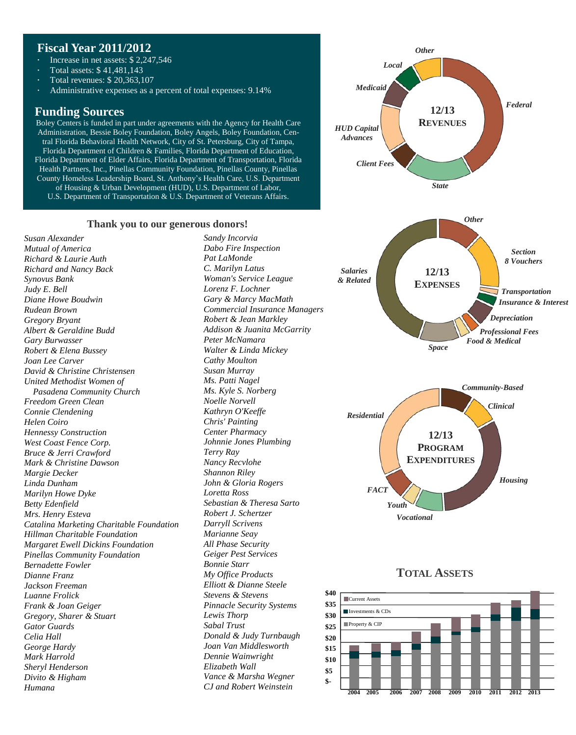# **Fiscal Year 2011/2012**

- Increase in net assets: \$ 2,247,546
- Total assets: \$ 41,481,143
- Total revenues: \$ 20,363,107
- Administrative expenses as a percent of total expenses: 9.14%

# **Funding Sources**

Boley Centers is funded in part under agreements with the Agency for Health Care Administration, Bessie Boley Foundation, Boley Angels, Boley Foundation, Central Florida Behavioral Health Network, City of St. Petersburg, City of Tampa, Florida Department of Children & Families, Florida Department of Education, Florida Department of Elder Affairs, Florida Department of Transportation, Florida Health Partners, Inc., Pinellas Community Foundation, Pinellas County, Pinellas County Homeless Leadership Board, St. Anthony's Health Care, U.S. Department of Housing & Urban Development (HUD), U.S. Department of Labor, U.S. Department of Transportation & U.S. Department of Veterans Affairs.

#### **Thank you to our generous donors!**

*Susan Alexander Mutual of America Richard & Laurie Auth Richard and Nancy Back Synovus Bank Judy E. Bell Diane Howe Boudwin Rudean Brown Gregory Bryant Albert & Geraldine Budd Gary Burwasser Robert & Elena Bussey Joan Lee Carver David & Christine Christensen United Methodist Women of Pasadena Community Church Freedom Green Clean Connie Clendening Helen Coiro Hennessy Construction West Coast Fence Corp. Bruce & Jerri Crawford Mark & Christine Dawson Margie Decker Linda Dunham Marilyn Howe Dyke Betty Edenfield Mrs. Henry Esteva Catalina Marketing Charitable Foundation Hillman Charitable Foundation Margaret Ewell Dickins Foundation Pinellas Community Foundation Bernadette Fowler Dianne Franz Jackson Freeman Luanne Frolick Frank & Joan Geiger Gregory, Sharer & Stuart Gator Guards Celia Hall George Hardy Mark Harrold Sheryl Henderson Divito & Higham Humana*

*Sandy Incorvia Dabo Fire Inspection Pat LaMonde C. Marilyn Latus Woman's Service League Lorenz F. Lochner Gary & Marcy MacMath Commercial Insurance Managers Robert & Jean Markley Addison & Juanita McGarrity Peter McNamara Walter & Linda Mickey Cathy Moulton Susan Murray Ms. Patti Nagel Ms. Kyle S. Norberg Noelle Norvell Kathryn O'Keeffe Chris' Painting Center Pharmacy Johnnie Jones Plumbing Terry Ray Nancy Recvlohe Shannon Riley John & Gloria Rogers Loretta Ross Sebastian & Theresa Sarto Robert J. Schertzer Darryll Scrivens Marianne Seay All Phase Security Geiger Pest Services Bonnie Starr My Office Products Elliott & Dianne Steele Stevens & Stevens Pinnacle Security Systems Lewis Thorp Sabal Trust Donald & Judy Turnbaugh Joan Van Middlesworth Dennie Wainwright Elizabeth Wall Vance & Marsha Wegner CJ and Robert Weinstein*